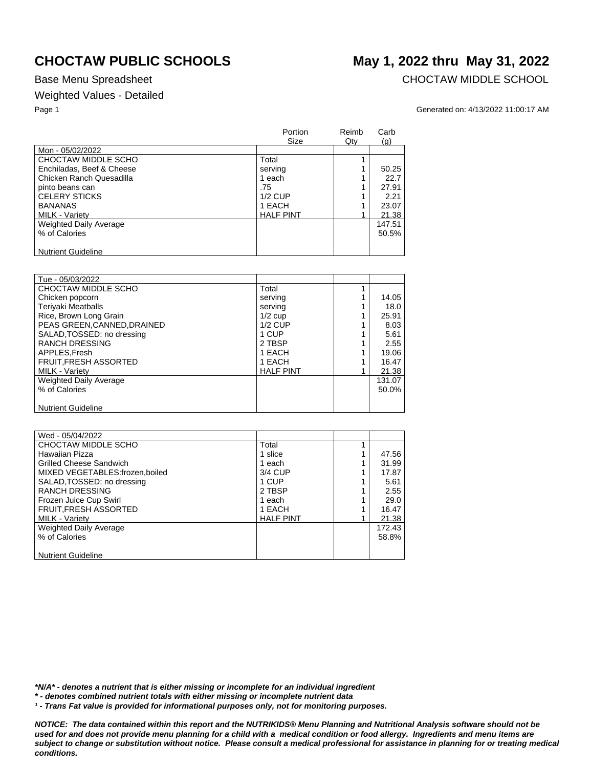## Weighted Values - Detailed

Base Menu Spreadsheet **CHOCTAW MIDDLE SCHOOL** 

### Page 1 Generated on: 4/13/2022 11:00:17 AM

| Size             | Qty | (g)    |
|------------------|-----|--------|
|                  |     |        |
| Total            |     |        |
| serving          |     | 50.25  |
| 1 each           |     | 22.7   |
| .75              |     | 27.91  |
| $1/2$ CUP        |     | 2.21   |
| 1 EACH           |     | 23.07  |
| <b>HALF PINT</b> |     | 21.38  |
|                  |     | 147.51 |
|                  |     | 50.5%  |
|                  |     |        |
|                  |     |        |

| Tue - 05/03/2022              |                  |        |
|-------------------------------|------------------|--------|
| CHOCTAW MIDDLE SCHO           | Total            |        |
| Chicken popcorn               | serving          | 14.05  |
| <b>Teriyaki Meatballs</b>     | serving          | 18.0   |
| Rice, Brown Long Grain        | $1/2$ cup        | 25.91  |
| PEAS GREEN, CANNED, DRAINED   | $1/2$ CUP        | 8.03   |
| SALAD, TOSSED: no dressing    | 1 CUP            | 5.61   |
| <b>RANCH DRESSING</b>         | 2 TBSP           | 2.55   |
| APPLES.Fresh                  | 1 EACH           | 19.06  |
| <b>FRUIT, FRESH ASSORTED</b>  | 1 EACH           | 16.47  |
| <b>MILK - Variety</b>         | <b>HALF PINT</b> | 21.38  |
| <b>Weighted Daily Average</b> |                  | 131.07 |
| % of Calories                 |                  | 50.0%  |
|                               |                  |        |
| <b>Nutrient Guideline</b>     |                  |        |

| Wed - 05/04/2022               |                  |        |
|--------------------------------|------------------|--------|
| CHOCTAW MIDDLE SCHO            | Total            |        |
| <b>Hawaiian Pizza</b>          | 1 slice          | 47.56  |
| <b>Grilled Cheese Sandwich</b> | 1 each           | 31.99  |
| MIXED VEGETABLES:frozen.boiled | 3/4 CUP          | 17.87  |
| SALAD, TOSSED: no dressing     | 1 CUP            | 5.61   |
| <b>RANCH DRESSING</b>          | 2 TBSP           | 2.55   |
| Frozen Juice Cup Swirl         | 1 each           | 29.0   |
| FRUIT, FRESH ASSORTED          | 1 EACH           | 16.47  |
| <b>MILK - Variety</b>          | <b>HALF PINT</b> | 21.38  |
| <b>Weighted Daily Average</b>  |                  | 172.43 |
| % of Calories                  |                  | 58.8%  |
|                                |                  |        |
| <b>Nutrient Guideline</b>      |                  |        |

*\*N/A\* - denotes a nutrient that is either missing or incomplete for an individual ingredient*

*\* - denotes combined nutrient totals with either missing or incomplete nutrient data*

*¹ - Trans Fat value is provided for informational purposes only, not for monitoring purposes.*

*NOTICE: The data contained within this report and the NUTRIKIDS® Menu Planning and Nutritional Analysis software should not be used for and does not provide menu planning for a child with a medical condition or food allergy. Ingredients and menu items are subject to change or substitution without notice. Please consult a medical professional for assistance in planning for or treating medical conditions.*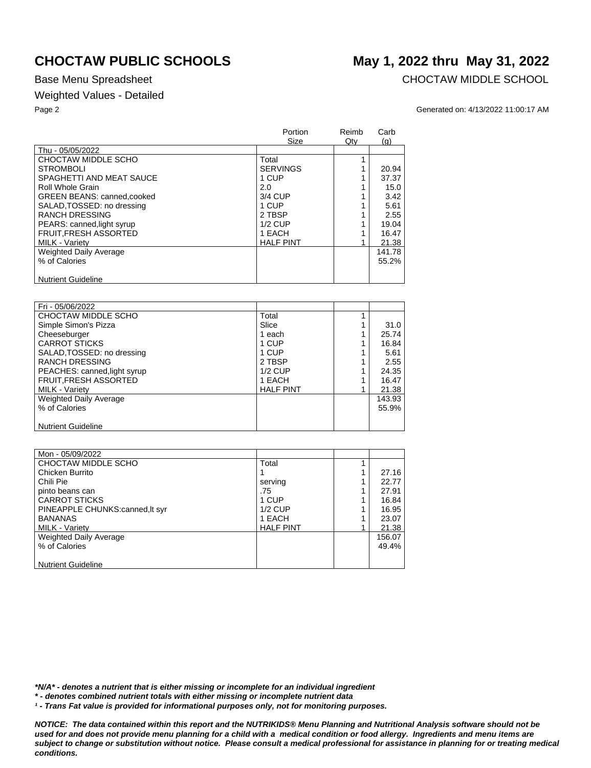## Weighted Values - Detailed

Base Menu Spreadsheet **CHOCTAW MIDDLE SCHOOL** 

### Page 2 Generated on: 4/13/2022 11:00:17 AM

|                               | Portion<br>Size  | Reimb<br>Qty | Carb<br>(q) |
|-------------------------------|------------------|--------------|-------------|
| Thu - 05/05/2022              |                  |              |             |
| CHOCTAW MIDDLE SCHO           | Total            |              |             |
| STROMBOLL                     | <b>SERVINGS</b>  |              | 20.94       |
| SPAGHETTI AND MEAT SAUCE      | 1 CUP            |              | 37.37       |
| Roll Whole Grain              | 2.0              |              | 15.0        |
| GREEN BEANS: canned, cooked   | 3/4 CUP          |              | 3.42        |
| SALAD, TOSSED: no dressing    | 1 CUP            |              | 5.61        |
| <b>RANCH DRESSING</b>         | 2 TBSP           |              | 2.55        |
| PEARS: canned, light syrup    | $1/2$ CUP        |              | 19.04       |
| FRUIT, FRESH ASSORTED         | 1 EACH           |              | 16.47       |
| <b>MILK - Varietv</b>         | <b>HALF PINT</b> |              | 21.38       |
| <b>Weighted Daily Average</b> |                  |              | 141.78      |
| % of Calories                 |                  |              | 55.2%       |
| <b>Nutrient Guideline</b>     |                  |              |             |

| Fri - 05/06/2022             |                  |        |
|------------------------------|------------------|--------|
| CHOCTAW MIDDLE SCHO          | Total            |        |
| Simple Simon's Pizza         | Slice            | 31.0   |
| Cheeseburger                 | 1 each           | 25.74  |
| <b>CARROT STICKS</b>         | 1 CUP            | 16.84  |
| SALAD, TOSSED: no dressing   | 1 CUP            | 5.61   |
| <b>RANCH DRESSING</b>        | 2 TBSP           | 2.55   |
| PEACHES: canned, light syrup | $1/2$ CUP        | 24.35  |
| <b>FRUIT, FRESH ASSORTED</b> | 1 EACH           | 16.47  |
| MILK - Variety               | <b>HALF PINT</b> | 21.38  |
| Weighted Daily Average       |                  | 143.93 |
| % of Calories                |                  | 55.9%  |
|                              |                  |        |
| <b>Nutrient Guideline</b>    |                  |        |

| Mon - 05/09/2022                |                  |        |
|---------------------------------|------------------|--------|
| CHOCTAW MIDDLE SCHO             | Total            |        |
| Chicken Burrito                 |                  | 27.16  |
| Chili Pie                       | serving          | 22.77  |
| pinto beans can                 | .75              | 27.91  |
| <b>CARROT STICKS</b>            | 1 CUP            | 16.84  |
| PINEAPPLE CHUNKS:canned, It syr | $1/2$ CUP        | 16.95  |
| <b>BANANAS</b>                  | 1 EACH           | 23.07  |
| <b>MILK - Varietv</b>           | <b>HALF PINT</b> | 21.38  |
| Weighted Daily Average          |                  | 156.07 |
| % of Calories                   |                  | 49.4%  |
|                                 |                  |        |
| <b>Nutrient Guideline</b>       |                  |        |

*\*N/A\* - denotes a nutrient that is either missing or incomplete for an individual ingredient*

*\* - denotes combined nutrient totals with either missing or incomplete nutrient data*

*¹ - Trans Fat value is provided for informational purposes only, not for monitoring purposes.*

*NOTICE: The data contained within this report and the NUTRIKIDS® Menu Planning and Nutritional Analysis software should not be*  used for and does not provide menu planning for a child with a medical condition or food allergy. Ingredients and menu items are *subject to change or substitution without notice. Please consult a medical professional for assistance in planning for or treating medical conditions.*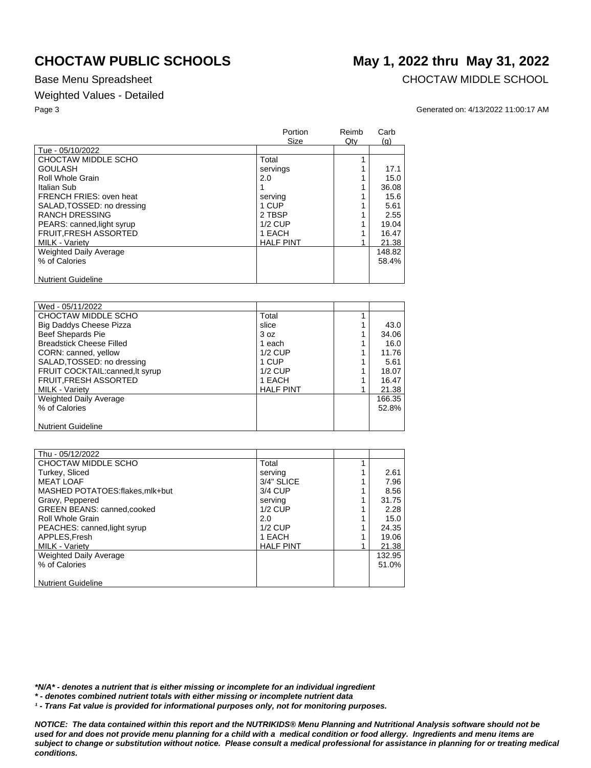## Weighted Values - Detailed

Base Menu Spreadsheet **CHOCTAW MIDDLE SCHOOL** 

### Page 3 Generated on: 4/13/2022 11:00:17 AM

|                               | Portion<br>Size  | Reimb<br>$Q$ ty | Carb<br>(g) |
|-------------------------------|------------------|-----------------|-------------|
| Tue - 05/10/2022              |                  |                 |             |
| CHOCTAW MIDDLE SCHO           | Total            |                 |             |
| <b>GOULASH</b>                | servings         |                 | 17.1        |
| Roll Whole Grain              | 2.0              |                 | 15.0        |
| Italian Sub                   |                  |                 | 36.08       |
| FRENCH FRIES: oven heat       | serving          |                 | 15.6        |
| SALAD, TOSSED: no dressing    | 1 CUP            |                 | 5.61        |
| <b>RANCH DRESSING</b>         | 2 TBSP           |                 | 2.55        |
| PEARS: canned, light syrup    | $1/2$ CUP        |                 | 19.04       |
| <b>FRUIT.FRESH ASSORTED</b>   | 1 EACH           |                 | 16.47       |
| <b>MILK - Varietv</b>         | <b>HALF PINT</b> |                 | 21.38       |
| <b>Weighted Daily Average</b> |                  |                 | 148.82      |
| % of Calories                 |                  |                 | 58.4%       |
| <b>Nutrient Guideline</b>     |                  |                 |             |

| Wed - 05/11/2022                |                  |          |
|---------------------------------|------------------|----------|
| CHOCTAW MIDDLE SCHO             | Total            |          |
| <b>Big Daddys Cheese Pizza</b>  | slice            | 43.0     |
| <b>Beef Shepards Pie</b>        | 3 oz             | 34.06    |
| <b>Breadstick Cheese Filled</b> | 1 each           | 16.0     |
| CORN: canned, yellow            | $1/2$ CUP        | 11.76    |
| SALAD, TOSSED: no dressing      | 1 CUP            | 5.61     |
| FRUIT COCKTAIL:canned, It syrup | $1/2$ CUP        | 18.07    |
| <b>FRUIT, FRESH ASSORTED</b>    | 1 EACH           | 16.47    |
| MILK - Variety                  | <b>HALF PINT</b> | 21.38    |
| Weighted Daily Average          |                  | 166.35   |
| % of Calories                   |                  | $52.8\%$ |
|                                 |                  |          |
| <b>Nutrient Guideline</b>       |                  |          |

| Thu - 05/12/2022                  |                  |        |
|-----------------------------------|------------------|--------|
| CHOCTAW MIDDLE SCHO               | Total            |        |
| Turkey, Sliced                    | serving          | 2.61   |
| <b>MEAT LOAF</b>                  | 3/4" SLICE       | 7.96   |
| MASHED POTATOES:flakes.mlk+but    | 3/4 CUP          | 8.56   |
| Gravy, Peppered                   | serving          | 31.75  |
| <b>GREEN BEANS: canned.cooked</b> | $1/2$ CUP        | 2.28   |
| Roll Whole Grain                  | 2.0              | 15.0   |
| PEACHES: canned, light syrup      | $1/2$ CUP        | 24.35  |
| APPLES, Fresh                     | 1 EACH           | 19.06  |
| <b>MILK - Variety</b>             | <b>HALF PINT</b> | 21.38  |
| <b>Weighted Daily Average</b>     |                  | 132.95 |
| % of Calories                     |                  | 51.0%  |
|                                   |                  |        |
| <b>Nutrient Guideline</b>         |                  |        |

*\*N/A\* - denotes a nutrient that is either missing or incomplete for an individual ingredient*

*\* - denotes combined nutrient totals with either missing or incomplete nutrient data*

*¹ - Trans Fat value is provided for informational purposes only, not for monitoring purposes.*

*NOTICE: The data contained within this report and the NUTRIKIDS® Menu Planning and Nutritional Analysis software should not be used for and does not provide menu planning for a child with a medical condition or food allergy. Ingredients and menu items are subject to change or substitution without notice. Please consult a medical professional for assistance in planning for or treating medical conditions.*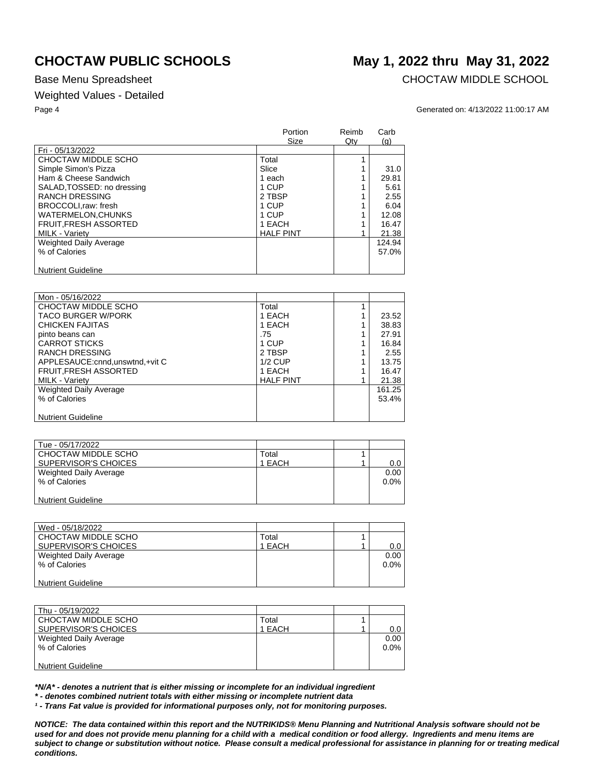## Weighted Values - Detailed

Base Menu Spreadsheet **CHOCTAW MIDDLE SCHOOL** 

### Page 4 Generated on: 4/13/2022 11:00:17 AM

|                               | Portion<br><b>Size</b> | Reimb<br>Qty | Carb<br>(g) |
|-------------------------------|------------------------|--------------|-------------|
| Fri - 05/13/2022              |                        |              |             |
| CHOCTAW MIDDLE SCHO           | Total                  |              |             |
| Simple Simon's Pizza          | Slice                  |              | 31.0        |
| Ham & Cheese Sandwich         | 1 each                 |              | 29.81       |
| SALAD, TOSSED: no dressing    | 1 CUP                  |              | 5.61        |
| <b>RANCH DRESSING</b>         | 2 TBSP                 |              | 2.55        |
| BROCCOLI, raw: fresh          | 1 CUP                  |              | 6.04        |
| <b>WATERMELON.CHUNKS</b>      | 1 CUP                  |              | 12.08       |
| <b>FRUIT, FRESH ASSORTED</b>  | 1 EACH                 |              | 16.47       |
| <b>MILK - Variety</b>         | <b>HALF PINT</b>       |              | 21.38       |
| <b>Weighted Daily Average</b> |                        |              | 124.94      |
| % of Calories                 |                        |              | 57.0%       |
| <b>Nutrient Guideline</b>     |                        |              |             |

| Mon - 05/16/2022                  |                  |        |
|-----------------------------------|------------------|--------|
| CHOCTAW MIDDLE SCHO               | Total            |        |
| <b>TACO BURGER W/PORK</b>         | 1 EACH           | 23.52  |
| CHICKEN FAJITAS                   | 1 EACH           | 38.83  |
| pinto beans can                   | .75              | 27.91  |
| <b>CARROT STICKS</b>              | 1 CUP            | 16.84  |
| <b>RANCH DRESSING</b>             | 2 TBSP           | 2.55   |
| APPLESAUCE: cnnd, unswtnd, +vit C | $1/2$ CUP        | 13.75  |
| FRUIT, FRESH ASSORTED             | 1 EACH           | 16.47  |
| <b>MILK - Variety</b>             | <b>HALF PINT</b> | 21.38  |
| Weighted Daily Average            |                  | 161.25 |
| % of Calories                     |                  | 53.4%  |
|                                   |                  |        |
| <b>Nutrient Guideline</b>         |                  |        |

| Tue - 05/17/2022          |        |         |
|---------------------------|--------|---------|
| CHOCTAW MIDDLE SCHO       | Total  |         |
| SUPERVISOR'S CHOICES      | 1 EACH | 0.0     |
| Weighted Daily Average    |        | 0.00    |
| % of Calories             |        | $0.0\%$ |
|                           |        |         |
| <b>Nutrient Guideline</b> |        |         |

| Wed - 05/18/2022          |        |         |
|---------------------------|--------|---------|
| CHOCTAW MIDDLE SCHO       | Total  |         |
| SUPERVISOR'S CHOICES      | 1 EACH | $0.0\,$ |
| Weighted Daily Average    |        | 0.00    |
| % of Calories             |        | $0.0\%$ |
|                           |        |         |
| <b>Nutrient Guideline</b> |        |         |

| Thu - 05/19/2022          |        |         |
|---------------------------|--------|---------|
| CHOCTAW MIDDLE SCHO       | Total  |         |
| SUPERVISOR'S CHOICES      | 1 EACH | $0.0\,$ |
| Weighted Daily Average    |        | 0.00    |
| % of Calories             |        | $0.0\%$ |
|                           |        |         |
| <b>Nutrient Guideline</b> |        |         |

*\*N/A\* - denotes a nutrient that is either missing or incomplete for an individual ingredient*

*\* - denotes combined nutrient totals with either missing or incomplete nutrient data*

*¹ - Trans Fat value is provided for informational purposes only, not for monitoring purposes.*

*NOTICE: The data contained within this report and the NUTRIKIDS® Menu Planning and Nutritional Analysis software should not be used for and does not provide menu planning for a child with a medical condition or food allergy. Ingredients and menu items are subject to change or substitution without notice. Please consult a medical professional for assistance in planning for or treating medical conditions.*